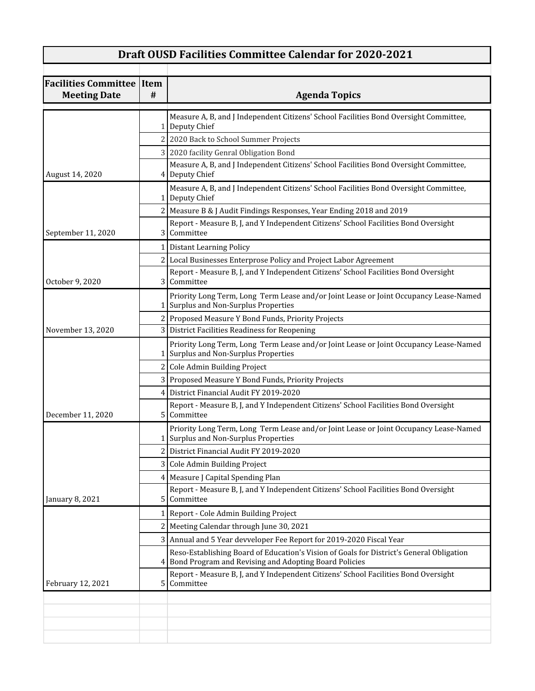## **Draft OUSD Facilities Committee Calendar for 2020-2021**

| <b>Facilities Committee</b><br><b>Meeting Date</b> | Item<br># | <b>Agenda Topics</b>                                                                                                                                |
|----------------------------------------------------|-----------|-----------------------------------------------------------------------------------------------------------------------------------------------------|
|                                                    |           | Measure A, B, and J Independent Citizens' School Facilities Bond Oversight Committee,<br>1 Deputy Chief                                             |
|                                                    |           | 2 2020 Back to School Summer Projects                                                                                                               |
|                                                    |           | 3 2020 facility Genral Obligation Bond                                                                                                              |
| August 14, 2020                                    |           | Measure A, B, and J Independent Citizens' School Facilities Bond Oversight Committee,<br>4 Deputy Chief                                             |
|                                                    |           | Measure A, B, and J Independent Citizens' School Facilities Bond Oversight Committee,<br>1 Deputy Chief                                             |
|                                                    |           | 2 Measure B & J Audit Findings Responses, Year Ending 2018 and 2019                                                                                 |
| September 11, 2020                                 |           | Report - Measure B, J, and Y Independent Citizens' School Facilities Bond Oversight<br>3 Committee                                                  |
|                                                    |           | 1 Distant Learning Policy                                                                                                                           |
|                                                    |           | 2 Local Businesses Enterprose Policy and Project Labor Agreement                                                                                    |
| October 9, 2020                                    |           | Report - Measure B, J, and Y Independent Citizens' School Facilities Bond Oversight<br>3 Committee                                                  |
|                                                    |           | Priority Long Term, Long Term Lease and/or Joint Lease or Joint Occupancy Lease-Named<br>1 Surplus and Non-Surplus Properties                       |
|                                                    |           | 2 Proposed Measure Y Bond Funds, Priority Projects                                                                                                  |
| November 13, 2020                                  |           | 3 District Facilities Readiness for Reopening                                                                                                       |
|                                                    |           | Priority Long Term, Long Term Lease and/or Joint Lease or Joint Occupancy Lease-Named<br>1 Surplus and Non-Surplus Properties                       |
|                                                    |           | 2 Cole Admin Building Project                                                                                                                       |
|                                                    |           | 3 Proposed Measure Y Bond Funds, Priority Projects                                                                                                  |
|                                                    |           | 4 District Financial Audit FY 2019-2020                                                                                                             |
| December 11, 2020                                  |           | Report - Measure B, J, and Y Independent Citizens' School Facilities Bond Oversight<br>5 Committee                                                  |
|                                                    |           | Priority Long Term, Long Term Lease and/or Joint Lease or Joint Occupancy Lease-Named<br>1 Surplus and Non-Surplus Properties                       |
|                                                    |           | 2 District Financial Audit FY 2019-2020                                                                                                             |
|                                                    |           | 3 Cole Admin Building Project                                                                                                                       |
|                                                    |           | 4   Measure J Capital Spending Plan                                                                                                                 |
| January 8, 2021                                    |           | Report - Measure B, J, and Y Independent Citizens' School Facilities Bond Oversight<br>5 Committee                                                  |
|                                                    |           | 1   Report - Cole Admin Building Project                                                                                                            |
|                                                    |           | 2   Meeting Calendar through June 30, 2021                                                                                                          |
|                                                    |           | 3 Annual and 5 Year devveloper Fee Report for 2019-2020 Fiscal Year                                                                                 |
|                                                    |           | Reso-Establishing Board of Education's Vision of Goals for District's General Obligation<br>4 Bond Program and Revising and Adopting Board Policies |
| February 12, 2021                                  |           | Report - Measure B, J, and Y Independent Citizens' School Facilities Bond Oversight<br>5 Committee                                                  |
|                                                    |           |                                                                                                                                                     |
|                                                    |           |                                                                                                                                                     |
|                                                    |           |                                                                                                                                                     |
|                                                    |           |                                                                                                                                                     |